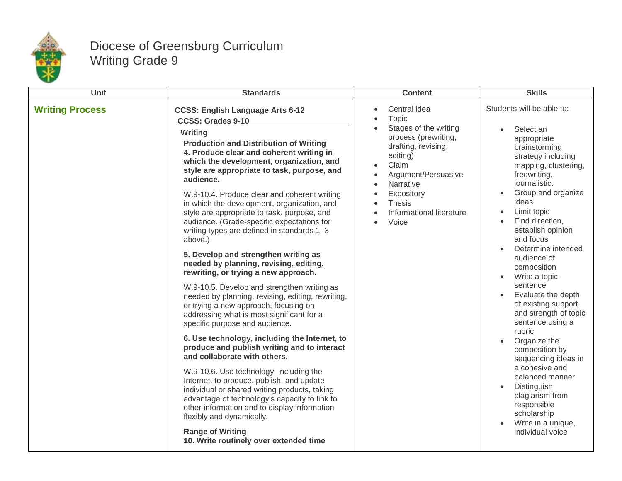

## Diocese of Greensburg Curriculum Writing Grade 9

| Unit                   | <b>Standards</b>                                                                                                                                                                                                                                                                                                                                                                                                                                                                                                                                                                                                                                                                                                                                                                                                                                                                                                                                                                                                                                                                                                                                                                                                                                                                                                                                                    | <b>Content</b>                                                                                                                                                                                                                                                    | <b>Skills</b>                                                                                                                                                                                                                                                                                                                                                                                                                                                                                                                                                                                                                                                                                                                       |
|------------------------|---------------------------------------------------------------------------------------------------------------------------------------------------------------------------------------------------------------------------------------------------------------------------------------------------------------------------------------------------------------------------------------------------------------------------------------------------------------------------------------------------------------------------------------------------------------------------------------------------------------------------------------------------------------------------------------------------------------------------------------------------------------------------------------------------------------------------------------------------------------------------------------------------------------------------------------------------------------------------------------------------------------------------------------------------------------------------------------------------------------------------------------------------------------------------------------------------------------------------------------------------------------------------------------------------------------------------------------------------------------------|-------------------------------------------------------------------------------------------------------------------------------------------------------------------------------------------------------------------------------------------------------------------|-------------------------------------------------------------------------------------------------------------------------------------------------------------------------------------------------------------------------------------------------------------------------------------------------------------------------------------------------------------------------------------------------------------------------------------------------------------------------------------------------------------------------------------------------------------------------------------------------------------------------------------------------------------------------------------------------------------------------------------|
| <b>Writing Process</b> | <b>CCSS: English Language Arts 6-12</b><br>CCSS: Grades 9-10<br>Writing<br><b>Production and Distribution of Writing</b><br>4. Produce clear and coherent writing in<br>which the development, organization, and<br>style are appropriate to task, purpose, and<br>audience.<br>W.9-10.4. Produce clear and coherent writing<br>in which the development, organization, and<br>style are appropriate to task, purpose, and<br>audience. (Grade-specific expectations for<br>writing types are defined in standards 1-3<br>above.)<br>5. Develop and strengthen writing as<br>needed by planning, revising, editing,<br>rewriting, or trying a new approach.<br>W.9-10.5. Develop and strengthen writing as<br>needed by planning, revising, editing, rewriting,<br>or trying a new approach, focusing on<br>addressing what is most significant for a<br>specific purpose and audience.<br>6. Use technology, including the Internet, to<br>produce and publish writing and to interact<br>and collaborate with others.<br>W.9-10.6. Use technology, including the<br>Internet, to produce, publish, and update<br>individual or shared writing products, taking<br>advantage of technology's capacity to link to<br>other information and to display information<br>flexibly and dynamically.<br><b>Range of Writing</b><br>10. Write routinely over extended time | Central idea<br>Topic<br>Stages of the writing<br>process (prewriting,<br>drafting, revising,<br>editing)<br>Claim<br>$\bullet$<br>Argument/Persuasive<br>Narrative<br>$\bullet$<br>Expository<br><b>Thesis</b><br>$\bullet$<br>Informational literature<br>Voice | Students will be able to:<br>Select an<br>appropriate<br>brainstorming<br>strategy including<br>mapping, clustering,<br>freewriting,<br>journalistic.<br>Group and organize<br>$\bullet$<br>ideas<br>Limit topic<br>$\bullet$<br>Find direction,<br>$\bullet$<br>establish opinion<br>and focus<br>Determine intended<br>audience of<br>composition<br>Write a topic<br>$\bullet$<br>sentence<br>Evaluate the depth<br>of existing support<br>and strength of topic<br>sentence using a<br>rubric<br>Organize the<br>$\bullet$<br>composition by<br>sequencing ideas in<br>a cohesive and<br>balanced manner<br>Distinguish<br>$\bullet$<br>plagiarism from<br>responsible<br>scholarship<br>Write in a unique,<br>individual voice |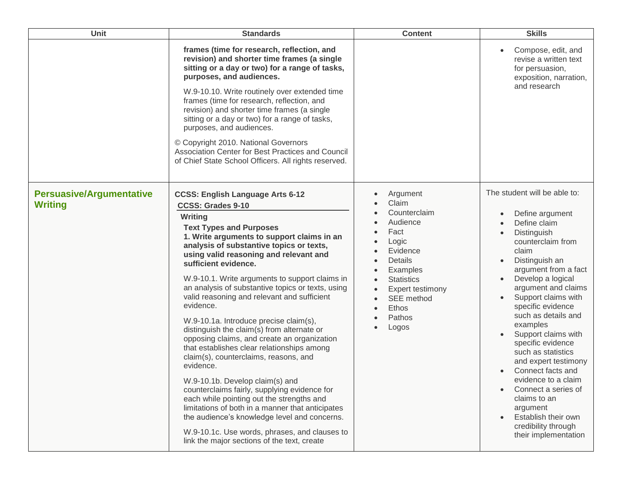| Unit                                              | <b>Standards</b>                                                                                                                                                                                                                                                                                                                                                                                                                                                                                                                                                                                                                                                                                                                                                                                                                                                                                                                                                                                                               | <b>Content</b>                                                                                                                                                                       | <b>Skills</b>                                                                                                                                                                                                                                                                                                                                                                                                                                                                                                                                                 |
|---------------------------------------------------|--------------------------------------------------------------------------------------------------------------------------------------------------------------------------------------------------------------------------------------------------------------------------------------------------------------------------------------------------------------------------------------------------------------------------------------------------------------------------------------------------------------------------------------------------------------------------------------------------------------------------------------------------------------------------------------------------------------------------------------------------------------------------------------------------------------------------------------------------------------------------------------------------------------------------------------------------------------------------------------------------------------------------------|--------------------------------------------------------------------------------------------------------------------------------------------------------------------------------------|---------------------------------------------------------------------------------------------------------------------------------------------------------------------------------------------------------------------------------------------------------------------------------------------------------------------------------------------------------------------------------------------------------------------------------------------------------------------------------------------------------------------------------------------------------------|
|                                                   | frames (time for research, reflection, and<br>revision) and shorter time frames (a single<br>sitting or a day or two) for a range of tasks,<br>purposes, and audiences.<br>W.9-10.10. Write routinely over extended time<br>frames (time for research, reflection, and<br>revision) and shorter time frames (a single<br>sitting or a day or two) for a range of tasks,<br>purposes, and audiences.<br>© Copyright 2010. National Governors<br>Association Center for Best Practices and Council<br>of Chief State School Officers. All rights reserved.                                                                                                                                                                                                                                                                                                                                                                                                                                                                       |                                                                                                                                                                                      | Compose, edit, and<br>revise a written text<br>for persuasion,<br>exposition, narration,<br>and research                                                                                                                                                                                                                                                                                                                                                                                                                                                      |
| <b>Persuasive/Argumentative</b><br><b>Writing</b> | <b>CCSS: English Language Arts 6-12</b><br><b>CCSS: Grades 9-10</b><br>Writing<br><b>Text Types and Purposes</b><br>1. Write arguments to support claims in an<br>analysis of substantive topics or texts,<br>using valid reasoning and relevant and<br>sufficient evidence.<br>W.9-10.1. Write arguments to support claims in<br>an analysis of substantive topics or texts, using<br>valid reasoning and relevant and sufficient<br>evidence.<br>W.9-10.1a. Introduce precise claim(s),<br>distinguish the claim(s) from alternate or<br>opposing claims, and create an organization<br>that establishes clear relationships among<br>claim(s), counterclaims, reasons, and<br>evidence.<br>W.9-10.1b. Develop claim(s) and<br>counterclaims fairly, supplying evidence for<br>each while pointing out the strengths and<br>limitations of both in a manner that anticipates<br>the audience's knowledge level and concerns.<br>W.9-10.1c. Use words, phrases, and clauses to<br>link the major sections of the text, create | Argument<br>Claim<br>Counterclaim<br>Audience<br>Fact<br>Logic<br>Evidence<br>Details<br>Examples<br><b>Statistics</b><br>Expert testimony<br>SEE method<br>Ethos<br>Pathos<br>Logos | The student will be able to:<br>Define argument<br>Define claim<br>Distinguish<br>counterclaim from<br>claim<br>Distinguish an<br>argument from a fact<br>Develop a logical<br>$\bullet$<br>argument and claims<br>Support claims with<br>specific evidence<br>such as details and<br>examples<br>Support claims with<br>specific evidence<br>such as statistics<br>and expert testimony<br>Connect facts and<br>evidence to a claim<br>Connect a series of<br>claims to an<br>argument<br>Establish their own<br>credibility through<br>their implementation |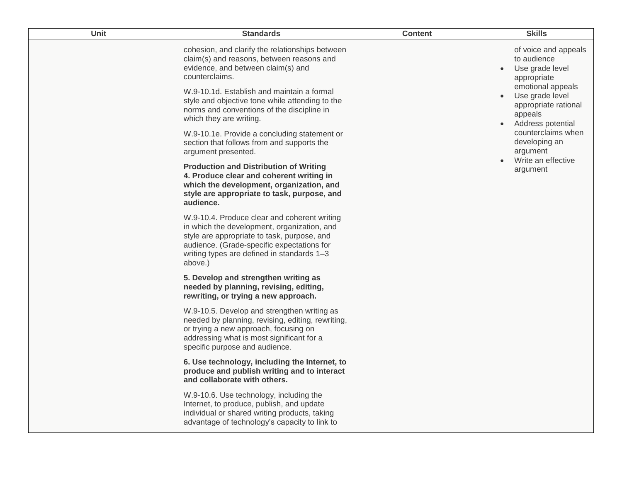| Unit | <b>Standards</b>                                                                                                                                                                                                                                  | <b>Content</b> | <b>Skills</b>                                                                                             |
|------|---------------------------------------------------------------------------------------------------------------------------------------------------------------------------------------------------------------------------------------------------|----------------|-----------------------------------------------------------------------------------------------------------|
|      | cohesion, and clarify the relationships between<br>claim(s) and reasons, between reasons and<br>evidence, and between claim(s) and<br>counterclaims.                                                                                              |                | of voice and appeals<br>to audience<br>Use grade level<br>appropriate                                     |
|      | W.9-10.1d. Establish and maintain a formal<br>style and objective tone while attending to the<br>norms and conventions of the discipline in<br>which they are writing.                                                                            |                | emotional appeals<br>Use grade level<br>$\bullet$<br>appropriate rational<br>appeals<br>Address potential |
|      | W.9-10.1e. Provide a concluding statement or<br>section that follows from and supports the<br>argument presented.                                                                                                                                 |                | counterclaims when<br>developing an<br>argument                                                           |
|      | <b>Production and Distribution of Writing</b><br>4. Produce clear and coherent writing in<br>which the development, organization, and<br>style are appropriate to task, purpose, and<br>audience.                                                 |                | Write an effective<br>argument                                                                            |
|      | W.9-10.4. Produce clear and coherent writing<br>in which the development, organization, and<br>style are appropriate to task, purpose, and<br>audience. (Grade-specific expectations for<br>writing types are defined in standards 1-3<br>above.) |                |                                                                                                           |
|      | 5. Develop and strengthen writing as<br>needed by planning, revising, editing,<br>rewriting, or trying a new approach.                                                                                                                            |                |                                                                                                           |
|      | W.9-10.5. Develop and strengthen writing as<br>needed by planning, revising, editing, rewriting,<br>or trying a new approach, focusing on<br>addressing what is most significant for a<br>specific purpose and audience.                          |                |                                                                                                           |
|      | 6. Use technology, including the Internet, to<br>produce and publish writing and to interact<br>and collaborate with others.                                                                                                                      |                |                                                                                                           |
|      | W.9-10.6. Use technology, including the<br>Internet, to produce, publish, and update<br>individual or shared writing products, taking<br>advantage of technology's capacity to link to                                                            |                |                                                                                                           |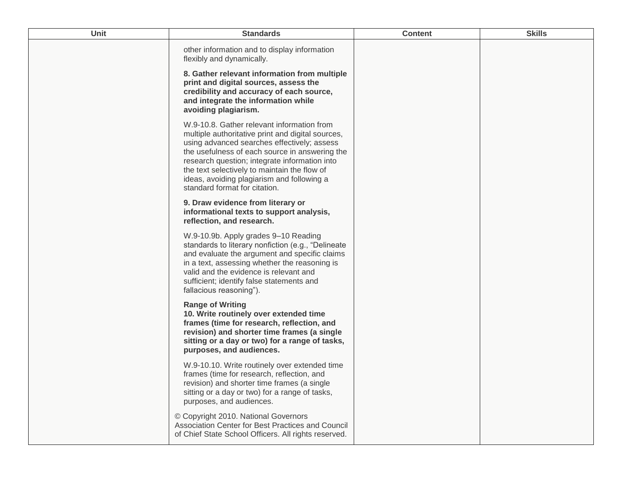| Unit | <b>Standards</b>                                                                                                                                                                                                                                                                                                                                                                 | <b>Content</b> | <b>Skills</b> |
|------|----------------------------------------------------------------------------------------------------------------------------------------------------------------------------------------------------------------------------------------------------------------------------------------------------------------------------------------------------------------------------------|----------------|---------------|
|      | other information and to display information<br>flexibly and dynamically.<br>8. Gather relevant information from multiple<br>print and digital sources, assess the<br>credibility and accuracy of each source,<br>and integrate the information while<br>avoiding plagiarism.                                                                                                    |                |               |
|      | W.9-10.8. Gather relevant information from<br>multiple authoritative print and digital sources,<br>using advanced searches effectively; assess<br>the usefulness of each source in answering the<br>research question; integrate information into<br>the text selectively to maintain the flow of<br>ideas, avoiding plagiarism and following a<br>standard format for citation. |                |               |
|      | 9. Draw evidence from literary or<br>informational texts to support analysis,<br>reflection, and research.                                                                                                                                                                                                                                                                       |                |               |
|      | W.9-10.9b. Apply grades 9-10 Reading<br>standards to literary nonfiction (e.g., "Delineate<br>and evaluate the argument and specific claims<br>in a text, assessing whether the reasoning is<br>valid and the evidence is relevant and<br>sufficient; identify false statements and<br>fallacious reasoning").                                                                   |                |               |
|      | <b>Range of Writing</b><br>10. Write routinely over extended time<br>frames (time for research, reflection, and<br>revision) and shorter time frames (a single<br>sitting or a day or two) for a range of tasks,<br>purposes, and audiences.                                                                                                                                     |                |               |
|      | W.9-10.10. Write routinely over extended time<br>frames (time for research, reflection, and<br>revision) and shorter time frames (a single<br>sitting or a day or two) for a range of tasks,<br>purposes, and audiences.                                                                                                                                                         |                |               |
|      | © Copyright 2010. National Governors<br>Association Center for Best Practices and Council<br>of Chief State School Officers. All rights reserved.                                                                                                                                                                                                                                |                |               |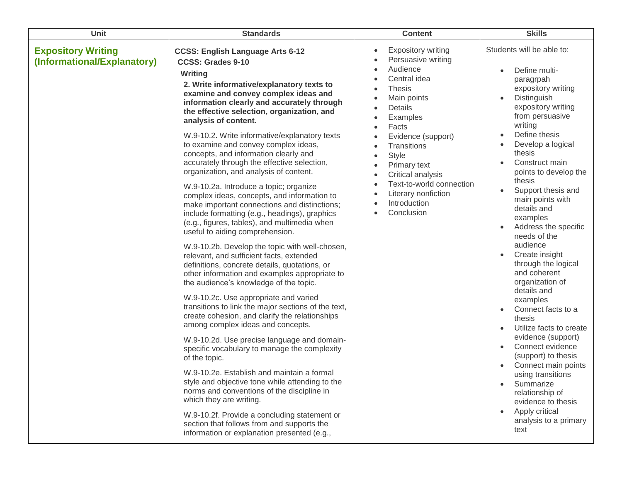| Unit                                                     | <b>Standards</b>                                                                                                                                                                                                                                                                                                                                                                                                                                                                                                                                                                                                                                                                                                                                                                                                                                                                                                                                                                                                                                                                                                                                                                                                                                                                                                                                                                                                                                                                                                                                                                                                                                                        | <b>Content</b>                                                                                                                                                                                                                                                                                                         | <b>Skills</b>                                                                                                                                                                                                                                                                                                                                                                                                                                                                                                                                                                                                                                                                                                                                                                                    |
|----------------------------------------------------------|-------------------------------------------------------------------------------------------------------------------------------------------------------------------------------------------------------------------------------------------------------------------------------------------------------------------------------------------------------------------------------------------------------------------------------------------------------------------------------------------------------------------------------------------------------------------------------------------------------------------------------------------------------------------------------------------------------------------------------------------------------------------------------------------------------------------------------------------------------------------------------------------------------------------------------------------------------------------------------------------------------------------------------------------------------------------------------------------------------------------------------------------------------------------------------------------------------------------------------------------------------------------------------------------------------------------------------------------------------------------------------------------------------------------------------------------------------------------------------------------------------------------------------------------------------------------------------------------------------------------------------------------------------------------------|------------------------------------------------------------------------------------------------------------------------------------------------------------------------------------------------------------------------------------------------------------------------------------------------------------------------|--------------------------------------------------------------------------------------------------------------------------------------------------------------------------------------------------------------------------------------------------------------------------------------------------------------------------------------------------------------------------------------------------------------------------------------------------------------------------------------------------------------------------------------------------------------------------------------------------------------------------------------------------------------------------------------------------------------------------------------------------------------------------------------------------|
| <b>Expository Writing</b><br>(Informational/Explanatory) | <b>CCSS: English Language Arts 6-12</b><br><b>CCSS: Grades 9-10</b><br>Writing<br>2. Write informative/explanatory texts to<br>examine and convey complex ideas and<br>information clearly and accurately through<br>the effective selection, organization, and<br>analysis of content.<br>W.9-10.2. Write informative/explanatory texts<br>to examine and convey complex ideas,<br>concepts, and information clearly and<br>accurately through the effective selection,<br>organization, and analysis of content.<br>W.9-10.2a. Introduce a topic; organize<br>complex ideas, concepts, and information to<br>make important connections and distinctions;<br>include formatting (e.g., headings), graphics<br>(e.g., figures, tables), and multimedia when<br>useful to aiding comprehension.<br>W.9-10.2b. Develop the topic with well-chosen,<br>relevant, and sufficient facts, extended<br>definitions, concrete details, quotations, or<br>other information and examples appropriate to<br>the audience's knowledge of the topic.<br>W.9-10.2c. Use appropriate and varied<br>transitions to link the major sections of the text,<br>create cohesion, and clarify the relationships<br>among complex ideas and concepts.<br>W.9-10.2d. Use precise language and domain-<br>specific vocabulary to manage the complexity<br>of the topic.<br>W.9-10.2e. Establish and maintain a formal<br>style and objective tone while attending to the<br>norms and conventions of the discipline in<br>which they are writing.<br>W.9-10.2f. Provide a concluding statement or<br>section that follows from and supports the<br>information or explanation presented (e.g., | <b>Expository writing</b><br>Persuasive writing<br>Audience<br>Central idea<br><b>Thesis</b><br>Main points<br>Details<br>Examples<br>Facts<br>Evidence (support)<br>Transitions<br><b>Style</b><br>Primary text<br>Critical analysis<br>Text-to-world connection<br>Literary nonfiction<br>Introduction<br>Conclusion | Students will be able to:<br>Define multi-<br>paragrpah<br>expository writing<br>Distinguish<br>$\bullet$<br>expository writing<br>from persuasive<br>writing<br>Define thesis<br>$\bullet$<br>Develop a logical<br>thesis<br>Construct main<br>points to develop the<br>thesis<br>Support thesis and<br>main points with<br>details and<br>examples<br>Address the specific<br>needs of the<br>audience<br>Create insight<br>through the logical<br>and coherent<br>organization of<br>details and<br>examples<br>Connect facts to a<br>thesis<br>Utilize facts to create<br>evidence (support)<br>Connect evidence<br>(support) to thesis<br>Connect main points<br>using transitions<br>Summarize<br>relationship of<br>evidence to thesis<br>Apply critical<br>analysis to a primary<br>text |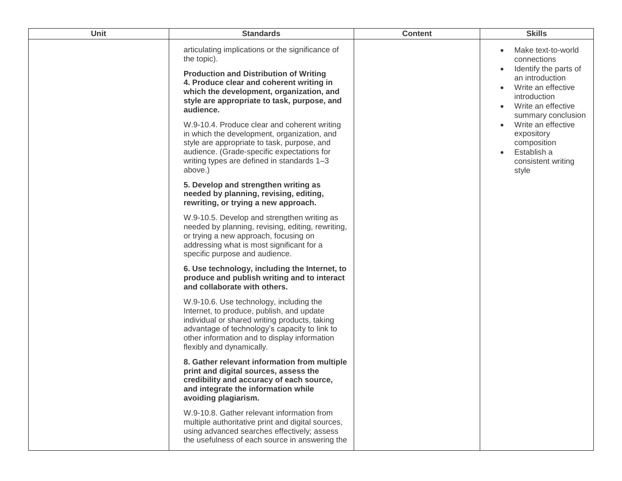| Unit | <b>Standards</b>                                                                                                                                                                                                                                                     | <b>Content</b> | <b>Skills</b>                                                                                                                             |
|------|----------------------------------------------------------------------------------------------------------------------------------------------------------------------------------------------------------------------------------------------------------------------|----------------|-------------------------------------------------------------------------------------------------------------------------------------------|
|      | articulating implications or the significance of<br>the topic).<br><b>Production and Distribution of Writing</b><br>4. Produce clear and coherent writing in<br>which the development, organization, and<br>style are appropriate to task, purpose, and<br>audience. |                | Make text-to-world<br>connections<br>Identify the parts of<br>an introduction<br>Write an effective<br>introduction<br>Write an effective |
|      | W.9-10.4. Produce clear and coherent writing<br>in which the development, organization, and<br>style are appropriate to task, purpose, and<br>audience. (Grade-specific expectations for<br>writing types are defined in standards 1-3<br>above.)                    |                | summary conclusion<br>Write an effective<br>expository<br>composition<br>Establish a<br>consistent writing<br>style                       |
|      | 5. Develop and strengthen writing as<br>needed by planning, revising, editing,<br>rewriting, or trying a new approach.                                                                                                                                               |                |                                                                                                                                           |
|      | W.9-10.5. Develop and strengthen writing as<br>needed by planning, revising, editing, rewriting,<br>or trying a new approach, focusing on<br>addressing what is most significant for a<br>specific purpose and audience.                                             |                |                                                                                                                                           |
|      | 6. Use technology, including the Internet, to<br>produce and publish writing and to interact<br>and collaborate with others.                                                                                                                                         |                |                                                                                                                                           |
|      | W.9-10.6. Use technology, including the<br>Internet, to produce, publish, and update<br>individual or shared writing products, taking<br>advantage of technology's capacity to link to<br>other information and to display information<br>flexibly and dynamically.  |                |                                                                                                                                           |
|      | 8. Gather relevant information from multiple<br>print and digital sources, assess the<br>credibility and accuracy of each source,<br>and integrate the information while<br>avoiding plagiarism.                                                                     |                |                                                                                                                                           |
|      | W.9-10.8. Gather relevant information from<br>multiple authoritative print and digital sources,<br>using advanced searches effectively; assess<br>the usefulness of each source in answering the                                                                     |                |                                                                                                                                           |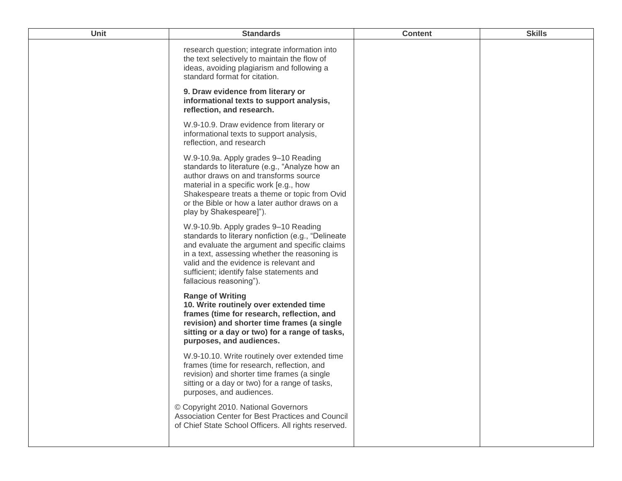| <b>Unit</b> | <b>Standards</b>                                                                                                                                                                                                                                                                                               | <b>Content</b> | <b>Skills</b> |
|-------------|----------------------------------------------------------------------------------------------------------------------------------------------------------------------------------------------------------------------------------------------------------------------------------------------------------------|----------------|---------------|
|             | research question; integrate information into<br>the text selectively to maintain the flow of<br>ideas, avoiding plagiarism and following a<br>standard format for citation.                                                                                                                                   |                |               |
|             | 9. Draw evidence from literary or<br>informational texts to support analysis,<br>reflection, and research.                                                                                                                                                                                                     |                |               |
|             | W.9-10.9. Draw evidence from literary or<br>informational texts to support analysis,<br>reflection, and research                                                                                                                                                                                               |                |               |
|             | W.9-10.9a. Apply grades 9-10 Reading<br>standards to literature (e.g., "Analyze how an<br>author draws on and transforms source<br>material in a specific work [e.g., how<br>Shakespeare treats a theme or topic from Ovid<br>or the Bible or how a later author draws on a<br>play by Shakespeare]").         |                |               |
|             | W.9-10.9b. Apply grades 9-10 Reading<br>standards to literary nonfiction (e.g., "Delineate<br>and evaluate the argument and specific claims<br>in a text, assessing whether the reasoning is<br>valid and the evidence is relevant and<br>sufficient; identify false statements and<br>fallacious reasoning"). |                |               |
|             | <b>Range of Writing</b><br>10. Write routinely over extended time<br>frames (time for research, reflection, and<br>revision) and shorter time frames (a single<br>sitting or a day or two) for a range of tasks,<br>purposes, and audiences.                                                                   |                |               |
|             | W.9-10.10. Write routinely over extended time<br>frames (time for research, reflection, and<br>revision) and shorter time frames (a single<br>sitting or a day or two) for a range of tasks,<br>purposes, and audiences.                                                                                       |                |               |
|             | © Copyright 2010. National Governors<br>Association Center for Best Practices and Council<br>of Chief State School Officers. All rights reserved.                                                                                                                                                              |                |               |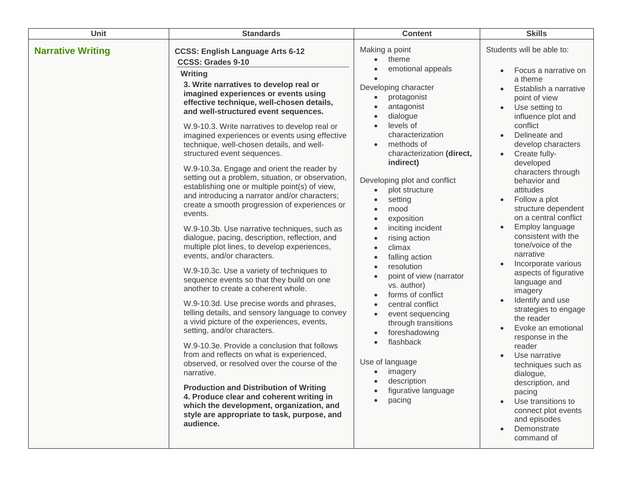| Unit                     | <b>Standards</b>                                                                                                                                                                                                                                                                                                                                                                                                                                                                                                                                                                                                                                                                                                                                                                                                                                                                                                                                                                                                                                                                                                                                                                                                                                                                                                                                                                                                                                                                                                                                                             | <b>Content</b>                                                                                                                                                                                                                                                                                                                                                                                                                                                                                                                                                                                                                                                                                                                                                                                                                                                                                                                              | <b>Skills</b>                                                                                                                                                                                                                                                                                                                                                                                                                                                                                                                                                                                                                                                                                                                                                                                       |
|--------------------------|------------------------------------------------------------------------------------------------------------------------------------------------------------------------------------------------------------------------------------------------------------------------------------------------------------------------------------------------------------------------------------------------------------------------------------------------------------------------------------------------------------------------------------------------------------------------------------------------------------------------------------------------------------------------------------------------------------------------------------------------------------------------------------------------------------------------------------------------------------------------------------------------------------------------------------------------------------------------------------------------------------------------------------------------------------------------------------------------------------------------------------------------------------------------------------------------------------------------------------------------------------------------------------------------------------------------------------------------------------------------------------------------------------------------------------------------------------------------------------------------------------------------------------------------------------------------------|---------------------------------------------------------------------------------------------------------------------------------------------------------------------------------------------------------------------------------------------------------------------------------------------------------------------------------------------------------------------------------------------------------------------------------------------------------------------------------------------------------------------------------------------------------------------------------------------------------------------------------------------------------------------------------------------------------------------------------------------------------------------------------------------------------------------------------------------------------------------------------------------------------------------------------------------|-----------------------------------------------------------------------------------------------------------------------------------------------------------------------------------------------------------------------------------------------------------------------------------------------------------------------------------------------------------------------------------------------------------------------------------------------------------------------------------------------------------------------------------------------------------------------------------------------------------------------------------------------------------------------------------------------------------------------------------------------------------------------------------------------------|
| <b>Narrative Writing</b> | <b>CCSS: English Language Arts 6-12</b><br><b>CCSS: Grades 9-10</b><br><b>Writing</b><br>3. Write narratives to develop real or<br>imagined experiences or events using<br>effective technique, well-chosen details,<br>and well-structured event sequences.<br>W.9-10.3. Write narratives to develop real or<br>imagined experiences or events using effective<br>technique, well-chosen details, and well-<br>structured event sequences.<br>W.9-10.3a. Engage and orient the reader by<br>setting out a problem, situation, or observation,<br>establishing one or multiple point(s) of view,<br>and introducing a narrator and/or characters;<br>create a smooth progression of experiences or<br>events.<br>W.9-10.3b. Use narrative techniques, such as<br>dialogue, pacing, description, reflection, and<br>multiple plot lines, to develop experiences,<br>events, and/or characters.<br>W.9-10.3c. Use a variety of techniques to<br>sequence events so that they build on one<br>another to create a coherent whole.<br>W.9-10.3d. Use precise words and phrases,<br>telling details, and sensory language to convey<br>a vivid picture of the experiences, events,<br>setting, and/or characters.<br>W.9-10.3e. Provide a conclusion that follows<br>from and reflects on what is experienced,<br>observed, or resolved over the course of the<br>narrative.<br><b>Production and Distribution of Writing</b><br>4. Produce clear and coherent writing in<br>which the development, organization, and<br>style are appropriate to task, purpose, and<br>audience. | Making a point<br>theme<br>$\bullet$<br>emotional appeals<br>$\bullet$<br>Developing character<br>protagonist<br>$\bullet$<br>antagonist<br>$\bullet$<br>dialogue<br>$\bullet$<br>levels of<br>$\bullet$<br>characterization<br>methods of<br>$\bullet$<br>characterization (direct,<br>indirect)<br>Developing plot and conflict<br>plot structure<br>$\bullet$<br>setting<br>$\bullet$<br>mood<br>$\bullet$<br>exposition<br>$\bullet$<br>inciting incident<br>$\bullet$<br>rising action<br>$\bullet$<br>climax<br>$\bullet$<br>falling action<br>$\bullet$<br>resolution<br>$\bullet$<br>point of view (narrator<br>$\bullet$<br>vs. author)<br>forms of conflict<br>$\bullet$<br>central conflict<br>$\bullet$<br>event sequencing<br>$\bullet$<br>through transitions<br>foreshadowing<br>$\bullet$<br>flashback<br>$\bullet$<br>Use of language<br>imagery<br>$\bullet$<br>description<br>$\bullet$<br>figurative language<br>pacing | Students will be able to:<br>Focus a narrative on<br>a theme<br>Establish a narrative<br>point of view<br>Use setting to<br>influence plot and<br>conflict<br>Delineate and<br>develop characters<br>Create fully-<br>developed<br>characters through<br>behavior and<br>attitudes<br>Follow a plot<br>structure dependent<br>on a central conflict<br>Employ language<br>consistent with the<br>tone/voice of the<br>narrative<br>Incorporate various<br>aspects of figurative<br>language and<br>imagery<br>Identify and use<br>strategies to engage<br>the reader<br>Evoke an emotional<br>response in the<br>reader<br>Use narrative<br>techniques such as<br>dialogue,<br>description, and<br>pacing<br>Use transitions to<br>connect plot events<br>and episodes<br>Demonstrate<br>command of |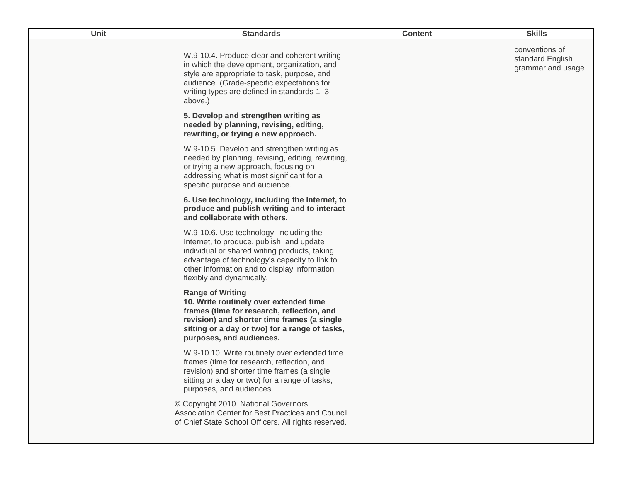| Unit | <b>Standards</b>                                                                                                                                                                                                                                                    | <b>Content</b> | <b>Skills</b>                                           |
|------|---------------------------------------------------------------------------------------------------------------------------------------------------------------------------------------------------------------------------------------------------------------------|----------------|---------------------------------------------------------|
|      | W.9-10.4. Produce clear and coherent writing<br>in which the development, organization, and<br>style are appropriate to task, purpose, and<br>audience. (Grade-specific expectations for<br>writing types are defined in standards 1-3<br>above.)                   |                | conventions of<br>standard English<br>grammar and usage |
|      | 5. Develop and strengthen writing as<br>needed by planning, revising, editing,<br>rewriting, or trying a new approach.                                                                                                                                              |                |                                                         |
|      | W.9-10.5. Develop and strengthen writing as<br>needed by planning, revising, editing, rewriting,<br>or trying a new approach, focusing on<br>addressing what is most significant for a<br>specific purpose and audience.                                            |                |                                                         |
|      | 6. Use technology, including the Internet, to<br>produce and publish writing and to interact<br>and collaborate with others.                                                                                                                                        |                |                                                         |
|      | W.9-10.6. Use technology, including the<br>Internet, to produce, publish, and update<br>individual or shared writing products, taking<br>advantage of technology's capacity to link to<br>other information and to display information<br>flexibly and dynamically. |                |                                                         |
|      | <b>Range of Writing</b><br>10. Write routinely over extended time<br>frames (time for research, reflection, and<br>revision) and shorter time frames (a single<br>sitting or a day or two) for a range of tasks,<br>purposes, and audiences.                        |                |                                                         |
|      | W.9-10.10. Write routinely over extended time<br>frames (time for research, reflection, and<br>revision) and shorter time frames (a single<br>sitting or a day or two) for a range of tasks,<br>purposes, and audiences.                                            |                |                                                         |
|      | © Copyright 2010. National Governors<br>Association Center for Best Practices and Council<br>of Chief State School Officers. All rights reserved.                                                                                                                   |                |                                                         |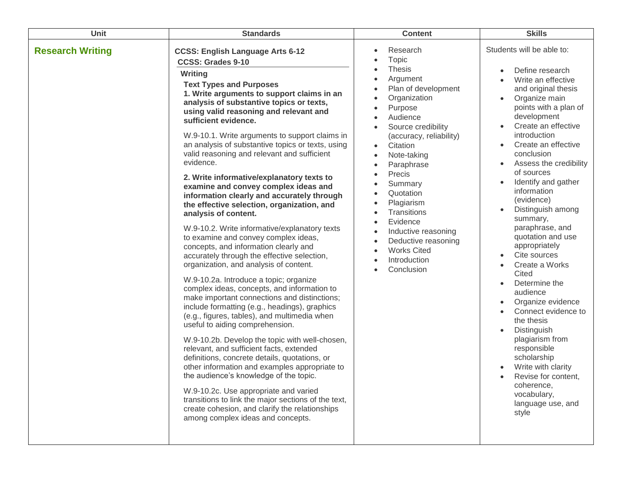| <b>Unit</b>             | <b>Standards</b>                                                                                                                                                                                                                                                                                                                                                                                                                                                                                                                                                                                                                                                                                                                                                                                                                                                                                                                                                                                                                                                                                                                                                                                                                                                                                                                                                                                                                                                                                                                                                                                  | <b>Content</b>                                                                                                                                                                                                                                                                                                                                                                                                                                       | <b>Skills</b>                                                                                                                                                                                                                                                                                                                                                                                                                                                                                                                                                                                                                                                                                                                                                                                                                                                                                           |
|-------------------------|---------------------------------------------------------------------------------------------------------------------------------------------------------------------------------------------------------------------------------------------------------------------------------------------------------------------------------------------------------------------------------------------------------------------------------------------------------------------------------------------------------------------------------------------------------------------------------------------------------------------------------------------------------------------------------------------------------------------------------------------------------------------------------------------------------------------------------------------------------------------------------------------------------------------------------------------------------------------------------------------------------------------------------------------------------------------------------------------------------------------------------------------------------------------------------------------------------------------------------------------------------------------------------------------------------------------------------------------------------------------------------------------------------------------------------------------------------------------------------------------------------------------------------------------------------------------------------------------------|------------------------------------------------------------------------------------------------------------------------------------------------------------------------------------------------------------------------------------------------------------------------------------------------------------------------------------------------------------------------------------------------------------------------------------------------------|---------------------------------------------------------------------------------------------------------------------------------------------------------------------------------------------------------------------------------------------------------------------------------------------------------------------------------------------------------------------------------------------------------------------------------------------------------------------------------------------------------------------------------------------------------------------------------------------------------------------------------------------------------------------------------------------------------------------------------------------------------------------------------------------------------------------------------------------------------------------------------------------------------|
| <b>Research Writing</b> | <b>CCSS: English Language Arts 6-12</b><br><b>CCSS: Grades 9-10</b><br>Writing<br><b>Text Types and Purposes</b><br>1. Write arguments to support claims in an<br>analysis of substantive topics or texts,<br>using valid reasoning and relevant and<br>sufficient evidence.<br>W.9-10.1. Write arguments to support claims in<br>an analysis of substantive topics or texts, using<br>valid reasoning and relevant and sufficient<br>evidence.<br>2. Write informative/explanatory texts to<br>examine and convey complex ideas and<br>information clearly and accurately through<br>the effective selection, organization, and<br>analysis of content.<br>W.9-10.2. Write informative/explanatory texts<br>to examine and convey complex ideas,<br>concepts, and information clearly and<br>accurately through the effective selection,<br>organization, and analysis of content.<br>W.9-10.2a. Introduce a topic; organize<br>complex ideas, concepts, and information to<br>make important connections and distinctions;<br>include formatting (e.g., headings), graphics<br>(e.g., figures, tables), and multimedia when<br>useful to aiding comprehension.<br>W.9-10.2b. Develop the topic with well-chosen,<br>relevant, and sufficient facts, extended<br>definitions, concrete details, quotations, or<br>other information and examples appropriate to<br>the audience's knowledge of the topic.<br>W.9-10.2c. Use appropriate and varied<br>transitions to link the major sections of the text,<br>create cohesion, and clarify the relationships<br>among complex ideas and concepts. | Research<br>Topic<br><b>Thesis</b><br>Argument<br>Plan of development<br>Organization<br>Purpose<br>Audience<br>Source credibility<br>$\bullet$<br>(accuracy, reliability)<br>Citation<br>$\bullet$<br>Note-taking<br>Paraphrase<br>Precis<br>Summary<br>Quotation<br>Plagiarism<br>Transitions<br>Evidence<br>$\bullet$<br>Inductive reasoning<br>Deductive reasoning<br><b>Works Cited</b><br>Introduction<br>$\bullet$<br>Conclusion<br>$\bullet$ | Students will be able to:<br>Define research<br>$\bullet$<br>Write an effective<br>$\bullet$<br>and original thesis<br>Organize main<br>$\bullet$<br>points with a plan of<br>development<br>Create an effective<br>$\bullet$<br>introduction<br>Create an effective<br>$\bullet$<br>conclusion<br>Assess the credibility<br>$\bullet$<br>of sources<br>Identify and gather<br>$\bullet$<br>information<br>(evidence)<br>Distinguish among<br>$\bullet$<br>summary,<br>paraphrase, and<br>quotation and use<br>appropriately<br>Cite sources<br>$\bullet$<br>Create a Works<br>$\bullet$<br>Cited<br>Determine the<br>$\bullet$<br>audience<br>Organize evidence<br>$\bullet$<br>Connect evidence to<br>the thesis<br>Distinguish<br>$\bullet$<br>plagiarism from<br>responsible<br>scholarship<br>Write with clarity<br>Revise for content.<br>coherence,<br>vocabulary,<br>language use, and<br>style |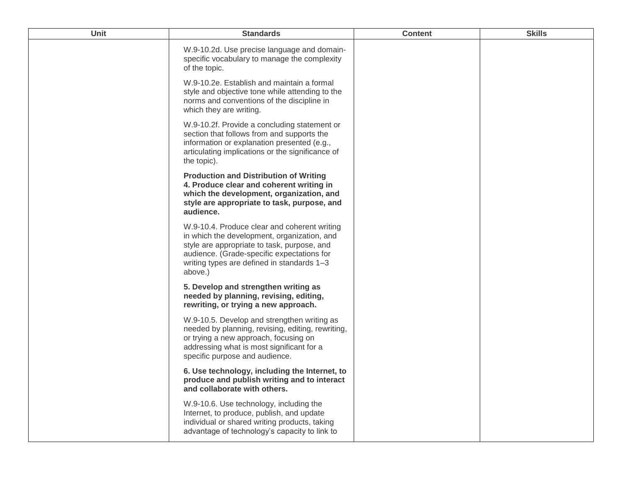| <b>Unit</b> | <b>Standards</b>                                                                                                                                                                                                                                  | <b>Content</b> | <b>Skills</b> |
|-------------|---------------------------------------------------------------------------------------------------------------------------------------------------------------------------------------------------------------------------------------------------|----------------|---------------|
|             | W.9-10.2d. Use precise language and domain-<br>specific vocabulary to manage the complexity<br>of the topic.                                                                                                                                      |                |               |
|             | W.9-10.2e. Establish and maintain a formal<br>style and objective tone while attending to the<br>norms and conventions of the discipline in<br>which they are writing.                                                                            |                |               |
|             | W.9-10.2f. Provide a concluding statement or<br>section that follows from and supports the<br>information or explanation presented (e.g.,<br>articulating implications or the significance of<br>the topic).                                      |                |               |
|             | <b>Production and Distribution of Writing</b><br>4. Produce clear and coherent writing in<br>which the development, organization, and<br>style are appropriate to task, purpose, and<br>audience.                                                 |                |               |
|             | W.9-10.4. Produce clear and coherent writing<br>in which the development, organization, and<br>style are appropriate to task, purpose, and<br>audience. (Grade-specific expectations for<br>writing types are defined in standards 1-3<br>above.) |                |               |
|             | 5. Develop and strengthen writing as<br>needed by planning, revising, editing,<br>rewriting, or trying a new approach.                                                                                                                            |                |               |
|             | W.9-10.5. Develop and strengthen writing as<br>needed by planning, revising, editing, rewriting,<br>or trying a new approach, focusing on<br>addressing what is most significant for a<br>specific purpose and audience.                          |                |               |
|             | 6. Use technology, including the Internet, to<br>produce and publish writing and to interact<br>and collaborate with others.                                                                                                                      |                |               |
|             | W.9-10.6. Use technology, including the<br>Internet, to produce, publish, and update<br>individual or shared writing products, taking<br>advantage of technology's capacity to link to                                                            |                |               |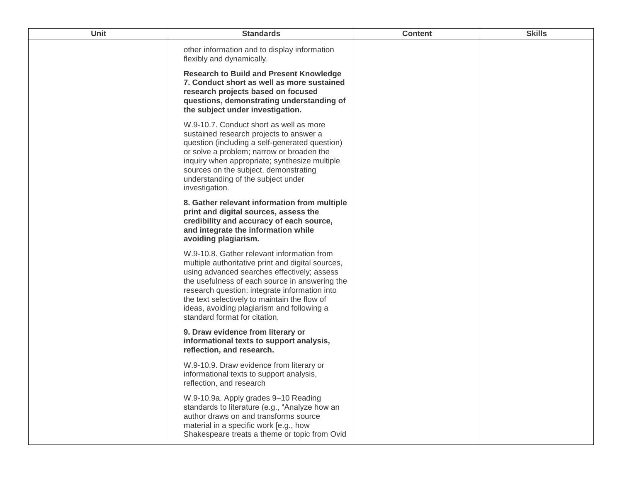| Unit | <b>Standards</b>                                                                                                                                                                                                                                                                                                                                                                 | <b>Content</b> | <b>Skills</b> |
|------|----------------------------------------------------------------------------------------------------------------------------------------------------------------------------------------------------------------------------------------------------------------------------------------------------------------------------------------------------------------------------------|----------------|---------------|
|      | other information and to display information<br>flexibly and dynamically.                                                                                                                                                                                                                                                                                                        |                |               |
|      | <b>Research to Build and Present Knowledge</b><br>7. Conduct short as well as more sustained<br>research projects based on focused<br>questions, demonstrating understanding of<br>the subject under investigation.                                                                                                                                                              |                |               |
|      | W.9-10.7. Conduct short as well as more<br>sustained research projects to answer a<br>question (including a self-generated question)<br>or solve a problem; narrow or broaden the<br>inquiry when appropriate; synthesize multiple<br>sources on the subject, demonstrating<br>understanding of the subject under<br>investigation.                                              |                |               |
|      | 8. Gather relevant information from multiple<br>print and digital sources, assess the<br>credibility and accuracy of each source,<br>and integrate the information while<br>avoiding plagiarism.                                                                                                                                                                                 |                |               |
|      | W.9-10.8. Gather relevant information from<br>multiple authoritative print and digital sources,<br>using advanced searches effectively; assess<br>the usefulness of each source in answering the<br>research question; integrate information into<br>the text selectively to maintain the flow of<br>ideas, avoiding plagiarism and following a<br>standard format for citation. |                |               |
|      | 9. Draw evidence from literary or<br>informational texts to support analysis,<br>reflection, and research.                                                                                                                                                                                                                                                                       |                |               |
|      | W.9-10.9. Draw evidence from literary or<br>informational texts to support analysis,<br>reflection, and research                                                                                                                                                                                                                                                                 |                |               |
|      | W.9-10.9a. Apply grades 9-10 Reading<br>standards to literature (e.g., "Analyze how an<br>author draws on and transforms source<br>material in a specific work [e.g., how<br>Shakespeare treats a theme or topic from Ovid                                                                                                                                                       |                |               |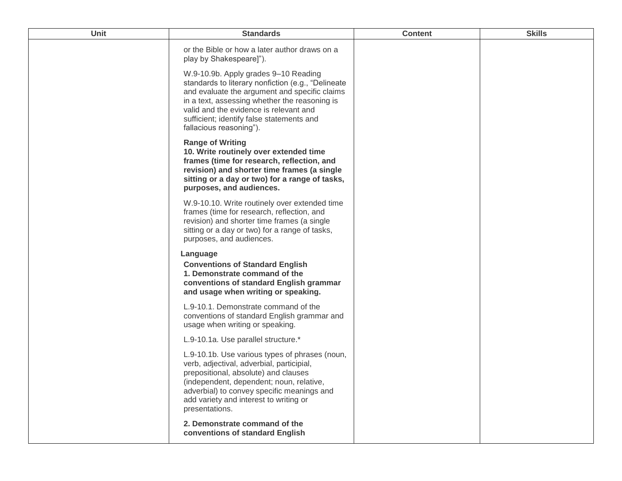| Unit | <b>Standards</b>                                                                                                                                                                                                                                                                                               | <b>Content</b> | <b>Skills</b> |
|------|----------------------------------------------------------------------------------------------------------------------------------------------------------------------------------------------------------------------------------------------------------------------------------------------------------------|----------------|---------------|
|      | or the Bible or how a later author draws on a<br>play by Shakespeare]").                                                                                                                                                                                                                                       |                |               |
|      | W.9-10.9b. Apply grades 9-10 Reading<br>standards to literary nonfiction (e.g., "Delineate<br>and evaluate the argument and specific claims<br>in a text, assessing whether the reasoning is<br>valid and the evidence is relevant and<br>sufficient; identify false statements and<br>fallacious reasoning"). |                |               |
|      | <b>Range of Writing</b><br>10. Write routinely over extended time<br>frames (time for research, reflection, and<br>revision) and shorter time frames (a single<br>sitting or a day or two) for a range of tasks,<br>purposes, and audiences.                                                                   |                |               |
|      | W.9-10.10. Write routinely over extended time<br>frames (time for research, reflection, and<br>revision) and shorter time frames (a single<br>sitting or a day or two) for a range of tasks,<br>purposes, and audiences.                                                                                       |                |               |
|      | Language<br><b>Conventions of Standard English</b><br>1. Demonstrate command of the<br>conventions of standard English grammar<br>and usage when writing or speaking.                                                                                                                                          |                |               |
|      | L.9-10.1. Demonstrate command of the<br>conventions of standard English grammar and<br>usage when writing or speaking.                                                                                                                                                                                         |                |               |
|      | L.9-10.1a. Use parallel structure.*                                                                                                                                                                                                                                                                            |                |               |
|      | L.9-10.1b. Use various types of phrases (noun,<br>verb, adjectival, adverbial, participial,<br>prepositional, absolute) and clauses<br>(independent, dependent; noun, relative,<br>adverbial) to convey specific meanings and<br>add variety and interest to writing or<br>presentations.                      |                |               |
|      | 2. Demonstrate command of the<br>conventions of standard English                                                                                                                                                                                                                                               |                |               |